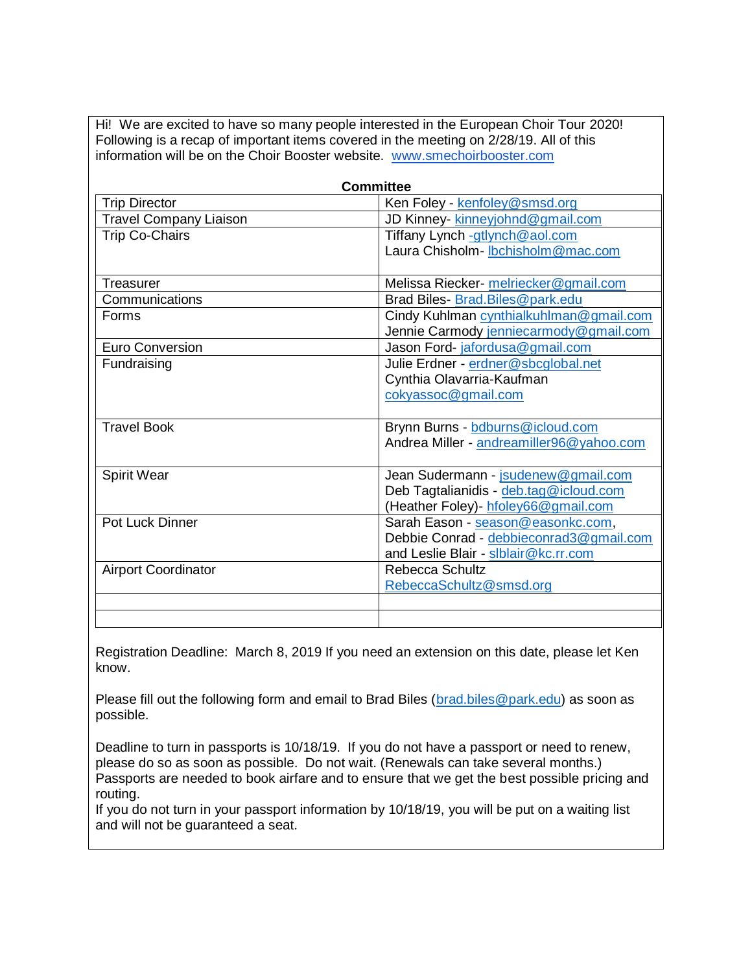Hi! We are excited to have so many people interested in the European Choir Tour 2020! Following is a recap of important items covered in the meeting on 2/28/19. All of this information will be on the Choir Booster website. www.smechoirbooster.com

| <b>Committee</b>              |                                          |  |  |  |  |
|-------------------------------|------------------------------------------|--|--|--|--|
| <b>Trip Director</b>          | Ken Foley - kenfoley@smsd.org            |  |  |  |  |
| <b>Travel Company Liaison</b> | JD Kinney- kinneyjohnd@gmail.com         |  |  |  |  |
| <b>Trip Co-Chairs</b>         | Tiffany Lynch -gtlynch@aol.com           |  |  |  |  |
|                               | Laura Chisholm-Ibchisholm@mac.com        |  |  |  |  |
|                               |                                          |  |  |  |  |
| Treasurer                     | Melissa Riecker- melriecker@gmail.com    |  |  |  |  |
| Communications                | Brad Biles- Brad. Biles@park.edu         |  |  |  |  |
| <b>Forms</b>                  | Cindy Kuhlman cynthialkuhlman@gmail.com  |  |  |  |  |
|                               | Jennie Carmody jenniecarmody@gmail.com   |  |  |  |  |
| <b>Euro Conversion</b>        | Jason Ford-jafordusa@gmail.com           |  |  |  |  |
| Fundraising                   | Julie Erdner - erdner@sbcglobal.net      |  |  |  |  |
|                               | Cynthia Olavarria-Kaufman                |  |  |  |  |
|                               | cokyassoc@gmail.com                      |  |  |  |  |
|                               |                                          |  |  |  |  |
| <b>Travel Book</b>            | Brynn Burns - bdburns@icloud.com         |  |  |  |  |
|                               | Andrea Miller - andreamiller96@yahoo.com |  |  |  |  |
| <b>Spirit Wear</b>            | Jean Sudermann - jsudenew@gmail.com      |  |  |  |  |
|                               | Deb Tagtalianidis - deb.tag@icloud.com   |  |  |  |  |
|                               | (Heather Foley)- hfoley66@gmail.com      |  |  |  |  |
| <b>Pot Luck Dinner</b>        | Sarah Eason - season@easonkc.com,        |  |  |  |  |
|                               | Debbie Conrad - debbieconrad3@gmail.com  |  |  |  |  |
|                               | and Leslie Blair - slblair@kc.rr.com     |  |  |  |  |
| <b>Airport Coordinator</b>    | Rebecca Schultz                          |  |  |  |  |
|                               | RebeccaSchultz@smsd.org                  |  |  |  |  |
|                               |                                          |  |  |  |  |
|                               |                                          |  |  |  |  |

Registration Deadline: March 8, 2019 If you need an extension on this date, please let Ken know.

Please fill out the following form and email to Brad Biles (brad.biles@park.edu) as soon as possible.

Deadline to turn in passports is 10/18/19. If you do not have a passport or need to renew, please do so as soon as possible. Do not wait. (Renewals can take several months.) Passports are needed to book airfare and to ensure that we get the best possible pricing and routing.

If you do not turn in your passport information by 10/18/19, you will be put on a waiting list and will not be guaranteed a seat.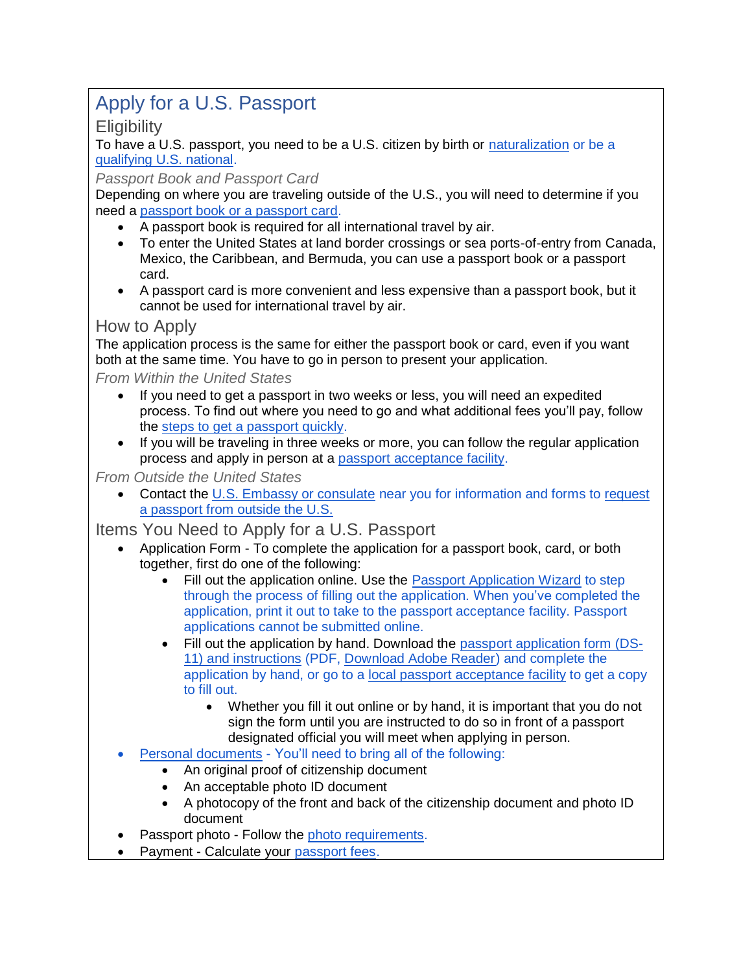# Apply for a U.S. Passport

**Eligibility** 

To have a U.S. passport, you need to be a U.S. citizen by birth or naturalization or be a qualifying U.S. national.

*Passport Book and Passport Card*

Depending on where you are traveling outside of the U.S., you will need to determine if you need a passport book or a passport card.

- A passport book is required for all international travel by air.
- To enter the United States at land border crossings or sea ports-of-entry from Canada, Mexico, the Caribbean, and Bermuda, you can use a passport book or a passport card.
- A passport card is more convenient and less expensive than a passport book, but it cannot be used for international travel by air.

#### How to Apply

The application process is the same for either the passport book or card, even if you want both at the same time. You have to go in person to present your application.

*From Within the United States*

- If you need to get a passport in two weeks or less, you will need an expedited process. To find out where you need to go and what additional fees you'll pay, follow the steps to get a passport quickly.
- If you will be traveling in three weeks or more, you can follow the regular application process and apply in person at a passport acceptance facility.

*From Outside the United States*

• Contact the U.S. Embassy or consulate near you for information and forms to request a passport from outside the U.S.

Items You Need to Apply for a U.S. Passport

- Application Form To complete the application for a passport book, card, or both together, first do one of the following:
	- Fill out the application online. Use the Passport Application Wizard to step through the process of filling out the application. When you've completed the application, print it out to take to the passport acceptance facility. Passport applications cannot be submitted online.
	- Fill out the application by hand. Download the passport application form (DS-11) and instructions (PDF, Download Adobe Reader) and complete the application by hand, or go to a local passport acceptance facility to get a copy to fill out.
		- Whether you fill it out online or by hand, it is important that you do not sign the form until you are instructed to do so in front of a passport designated official you will meet when applying in person.
- Personal documents You'll need to bring all of the following:
	- An original proof of citizenship document
	- An acceptable photo ID document
	- A photocopy of the front and back of the citizenship document and photo ID document
- Passport photo Follow the photo requirements.
- Payment Calculate your passport fees.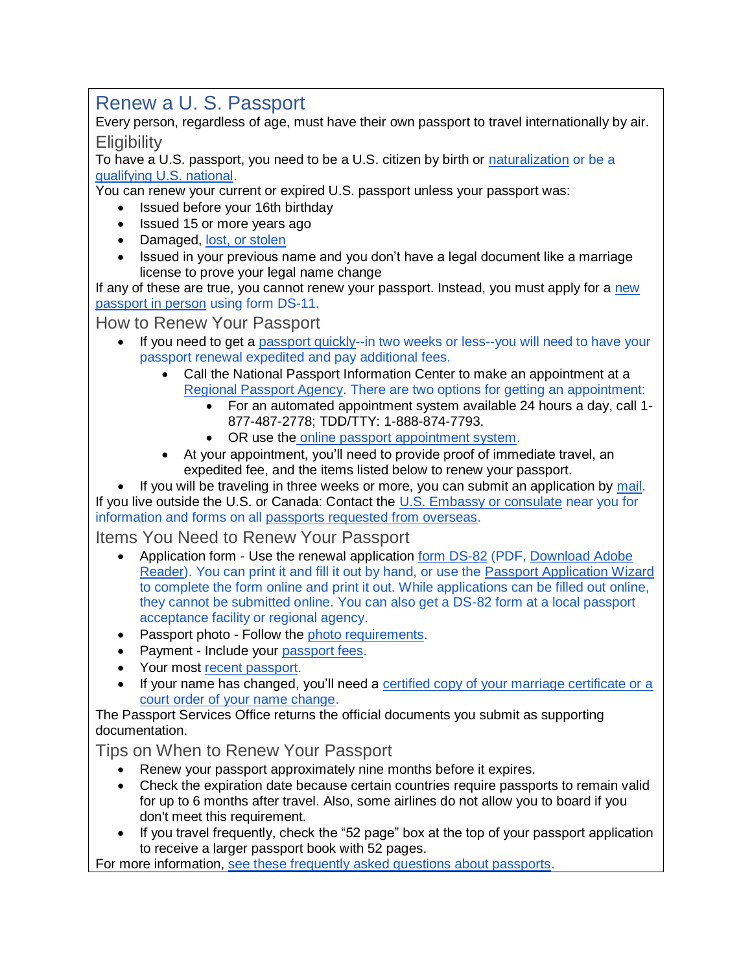### Renew a U. S. Passport

Every person, regardless of age, must have their own passport to travel internationally by air. **Eligibility** 

To have a U.S. passport, you need to be a U.S. citizen by birth or naturalization or be a qualifying U.S. national.

You can renew your current or expired U.S. passport unless your passport was:

- Issued before your 16th birthday
- Issued 15 or more years ago
- Damaged, lost, or stolen
- Issued in your previous name and you don't have a legal document like a marriage license to prove your legal name change

If any of these are true, you cannot renew your passport. Instead, you must apply for a new passport in person using form DS-11.

#### How to Renew Your Passport

- If you need to get a passport quickly--in two weeks or less--you will need to have your passport renewal expedited and pay additional fees.
	- Call the National Passport Information Center to make an appointment at a Regional Passport Agency. There are two options for getting an appointment:
		- For an automated appointment system available 24 hours a day, call 1- 877-487-2778; TDD/TTY: 1-888-874-7793.
		- OR use the online passport appointment system.
	- At your appointment, you'll need to provide proof of immediate travel, an expedited fee, and the items listed below to renew your passport.

If you will be traveling in three weeks or more, you can submit an application by mail. If you live outside the U.S. or Canada: Contact the U.S. Embassy or consulate near you for information and forms on all passports requested from overseas.

#### Items You Need to Renew Your Passport

- Application form Use the renewal application form DS-82 (PDF, Download Adobe Reader). You can print it and fill it out by hand, or use the Passport Application Wizard to complete the form online and print it out. While applications can be filled out online, they cannot be submitted online. You can also get a DS-82 form at a local passport acceptance facility or regional agency.
- Passport photo Follow the photo requirements.
- Payment Include your passport fees.
- Your most recent passport.
- If your name has changed, you'll need a certified copy of your marriage certificate or a court order of your name change.

The Passport Services Office returns the official documents you submit as supporting documentation.

#### Tips on When to Renew Your Passport

- Renew your passport approximately nine months before it expires.
- Check the expiration date because certain countries require passports to remain valid for up to 6 months after travel. Also, some airlines do not allow you to board if you don't meet this requirement.
- If you travel frequently, check the "52 page" box at the top of your passport application to receive a larger passport book with 52 pages.

For more information, see these frequently asked questions about passports.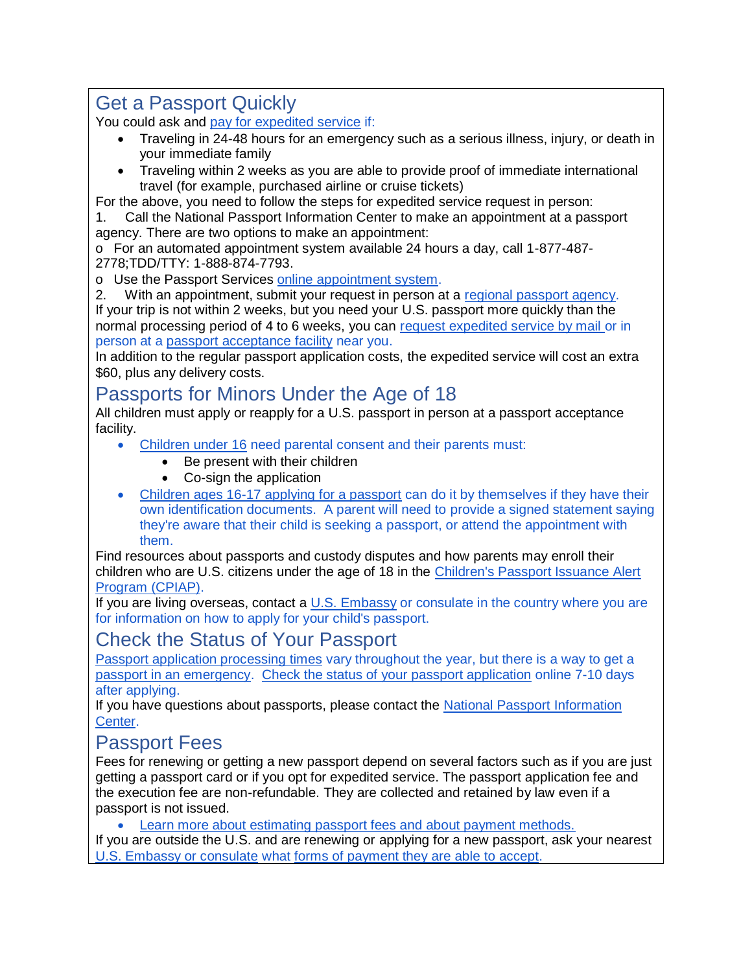## Get a Passport Quickly

You could ask and pay for expedited service if:

- Traveling in 24-48 hours for an emergency such as a serious illness, injury, or death in your immediate family
- Traveling within 2 weeks as you are able to provide proof of immediate international travel (for example, purchased airline or cruise tickets)

For the above, you need to follow the steps for expedited service request in person:

1. Call the National Passport Information Center to make an appointment at a passport agency. There are two options to make an appointment:

o For an automated appointment system available 24 hours a day, call 1-877-487- 2778;TDD/TTY: 1-888-874-7793.

o Use the Passport Services online appointment system.

2. With an appointment, submit your request in person at a regional passport agency. If your trip is not within 2 weeks, but you need your U.S. passport more quickly than the normal processing period of 4 to 6 weeks, you can request expedited service by mail or in person at a passport acceptance facility near you.

In addition to the regular passport application costs, the expedited service will cost an extra \$60, plus any delivery costs.

# Passports for Minors Under the Age of 18

All children must apply or reapply for a U.S. passport in person at a passport acceptance facility.

- Children under 16 need parental consent and their parents must:
	- Be present with their children
	- Co-sign the application
- Children ages 16-17 applying for a passport can do it by themselves if they have their own identification documents. A parent will need to provide a signed statement saying they're aware that their child is seeking a passport, or attend the appointment with them.

Find resources about passports and custody disputes and how parents may enroll their children who are U.S. citizens under the age of 18 in the Children's Passport Issuance Alert Program (CPIAP).

If you are living overseas, contact a  $U.S.$  Embassy or consulate in the country where you are for information on how to apply for your child's passport.

### Check the Status of Your Passport

Passport application processing times vary throughout the year, but there is a way to get a passport in an emergency. Check the status of your passport application online 7-10 days after applying.

If you have questions about passports, please contact the National Passport Information Center.

# Passport Fees

Fees for renewing or getting a new passport depend on several factors such as if you are just getting a passport card or if you opt for expedited service. The passport application fee and the execution fee are non-refundable. They are collected and retained by law even if a passport is not issued.

• Learn more about estimating passport fees and about payment methods.

If you are outside the U.S. and are renewing or applying for a new passport, ask your nearest U.S. Embassy or consulate what forms of payment they are able to accept.